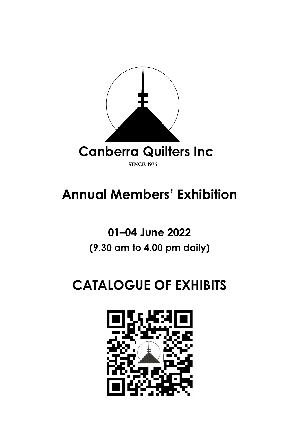

# **Annual Members' Exhibition**

# **01–04 June 2022 (9.30 am to 4.00 pm daily)**

# **CATALOGUE OF EXHIBITS**

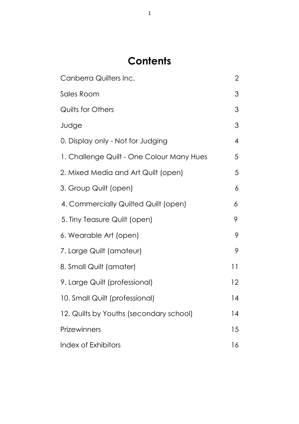## **Contents**

| Canberra Quilters Inc.                    | 2  |
|-------------------------------------------|----|
| Sales Room                                | 3  |
| <b>Quilts for Others</b>                  | 3  |
| Judge                                     | 3  |
| 0. Display only - Not for Judging         | 4  |
| 1. Challenge Quilt - One Colour Many Hues | 5  |
| 2. Mixed Media and Art Quilt (open)       | 5  |
| 3. Group Quilt (open)                     | 6  |
| 4. Commercially Quilted Quilt (open)      | 6  |
| 5. Tiny Teasure Quilt (open)              | 9  |
| 6. Wearable Art (open)                    | 9  |
| 7. Large Quilt (amateur)                  | 9  |
| 8. Small Quilt (amater)                   | 11 |
| 9. Large Quilt (professional)             | 12 |
| 10. Small Quilt (professional)            | 14 |
| 12. Quilts by Youths (secondary school)   | 14 |
| Prizewinners                              | 15 |
| Index of Exhibitors                       | 16 |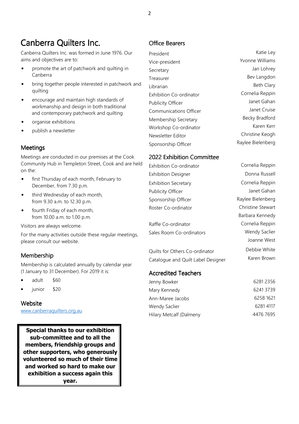### Canberra Quilters Inc.

Canberra Quilters Inc. was formed in June 1976. Our aims and objectives are to:

- promote the art of patchwork and quilting in Canberra
- bring together people interested in patchwork and quilting
- encourage and maintain high standards of workmanship and design in both traditional and contemporary patchwork and quilting
- organise exhibitions
- publish a newsletter

### **Meetings**

Meetings are conducted in our premises at the Cook Community Hub in Templeton Street, Cook and are held on the:

- first Thursday of each month, February to December, from 7.30 p.m.
- third Wednesday of each month, from 9.30 a.m. to 12.30 p.m.
- fourth Friday of each month, from 10.00 a.m. to 1.00 p.m.

Visitors are always welcome.

For the many activities outside these regular meetings, please consult our website.

### Membership Membership

Membership is calculated annually by calendar year (1 January to 31 December). For 2019 it is:

- adult \$60
- junior \$20

#### Website

www.canberraquilters.org.au

**Special thanks to our exhibition sub-committee and to all the members, friendship groups and other supporters, who generously volunteered so much of their time and worked so hard to make our exhibition a success again this year.**

#### Office Bearers

President Vice-president Secretary Treasurer Librarian Exhibition Co-ordinator Publicity Officer Communications Officer Membership Secretary Workshop Co-ordinator Newsletter Editor Sponsorship Officer

Katie Ley Yvonne Williams Jan Lohrey Bev Langdon Beth Clary Cornelia Reppin Janet Gahan Janet Cruise Becky Bradford Karen Kerr Christine Keogh Raylee Bielenberg

> Cornelia Reppin Wendy Saclier Joanne West Debbie White Karen Brown

#### 2022 Exhibition Committee

| <b>Exhibition Co-ordinator</b> | Cornelia Reppin   |
|--------------------------------|-------------------|
| <b>Exhibition Designer</b>     | Donna Russell     |
| <b>Exhibition Secretary</b>    | Cornelia Reppin   |
| Publicity Officer              | Janet Gahan       |
| Sponsorship Officer            | Raylee Bielenberg |
| Roster Co-ordinator            | Christine Stewart |
|                                | Barbara Kennedy   |

Raffle Co-ordinator Sales Room Co-ordinators

Quilts for Others Co-ordinator Catalogue and Quilt Label Designer

#### Accredited Teachers

| Jenny Bowker            | 62812356  |
|-------------------------|-----------|
| Mary Kennedy            | 6241 3739 |
| Ann-Maree Jacobs        | 6258 1621 |
| Wendy Saclier           | 6281 4117 |
| Hilary Metcalf (Dalmeny | 4476 7695 |
|                         |           |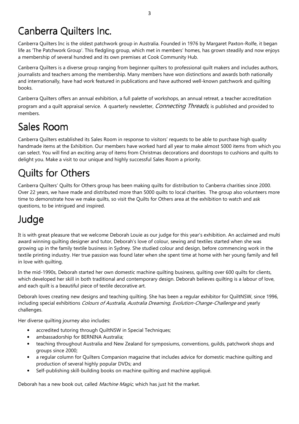### Canberra Quilters Inc.

Canberra Quilters Inc is the oldest patchwork group in Australia. Founded in 1976 by Margaret Paxton-Rolfe, it began life as 'The Patchwork Group'. This fledgling group, which met in members' homes, has grown steadily and now enjoys a membership of several hundred and its own premises at Cook Community Hub.

Canberra Quilters is a diverse group ranging from beginner quilters to professional quilt makers and includes authors, journalists and teachers among the membership. Many members have won distinctions and awards both nationally and internationally, have had work featured in publications and have authored well-known patchwork and quilting books.

Canberra Quilters offers an annual exhibition, a full palette of workshops, an annual retreat, a teacher accreditation program and a quilt appraisal service. A quarterly newsletter, *Connecting Threads*, is published and provided to members.

# Sales Room

Canberra Quilters established its Sales Room in response to visitors' requests to be able to purchase high quality handmade items at the Exhibition. Our members have worked hard all year to make almost 5000 items from which you can select. You will find an exciting array of items from Christmas decorations and doorstops to cushions and quilts to delight you. Make a visit to our unique and highly successful Sales Room a priority.

# Quilts for Others

Canberra Quilters' Quilts for Others group has been making quilts for distribution to Canberra charities since 2000. Over 22 years, we have made and distributed more than 5000 quilts to local charities. The group also volunteers more time to demonstrate how we make quilts, so visit the Quilts for Others area at the exhibition to watch and ask questions, to be intrigued and inspired.

# Judge

It is with great pleasure that we welcome Deborah Louie as our judge for this year's exhibition. An acclaimed and multi award winning quilting designer and tutor, Deborah's love of colour, sewing and textiles started when she was growing up in the family textile business in Sydney. She studied colour and design, before commencing work in the textile printing industry. Her true passion was found later when she spent time at home with her young family and fell in love with quilting.

In the mid-1990s, Deborah started her own domestic machine quilting business, quilting over 600 quilts for clients, which developed her skill in both traditional and contemporary design. Deborah believes quilting is a labour of love, and each quilt is a beautiful piece of textile decorative art.

Deborah loves creating new designs and teaching quilting. She has been a regular exhibitor for QuiltNSW, since 1996, including special exhibitions *Colours of Australia, Australia Dreaming, Evolution-Change-Challenge* and yearly challenges.

Her diverse quilting journey also includes:

- accredited tutoring through QuiltNSW in Special Techniques;
- ambassadorship for BERNINA Australia;
- teaching throughout Australia and New Zealand for symposiums, conventions, guilds, patchwork shops and groups since 2000;
- a regular column for Quilters Companion magazine that includes advice for domestic machine quilting and production of several highly popular DVDs; and
- Self-publishing skill-building books on machine quilting and machine appliqué.

Deborah has a new book out, called *Machine Magic*, which has just hit the market.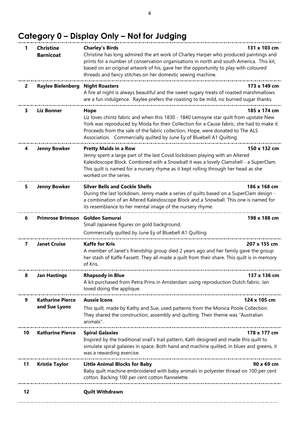### **Category 0 – Display Only – Not for Judging**

| 1              | <b>Christine</b><br><b>Barnicoat</b>     | <b>Charley's Birds</b><br>Christine has long admired the art work of Charley Harper who produced paintings and<br>prints for a number of conservation organisations in north and south America. This kit,<br>based on an original artwork of his, gave her the opportunity to play with coloured<br>threads and fancy stitches on her domestic sewing machine. | 131 x 103 cm |
|----------------|------------------------------------------|----------------------------------------------------------------------------------------------------------------------------------------------------------------------------------------------------------------------------------------------------------------------------------------------------------------------------------------------------------------|--------------|
| $\overline{2}$ | <b>Raylee Bielenberg</b>                 | <b>Night Roasters</b><br>A fire at night is always beautiful and the sweet sugary treats of roasted marshmallows<br>are a fun indulgence. Raylee prefers the roasting to be mild, no burned sugar thanks.                                                                                                                                                      | 173 x 149 cm |
| 3              | <b>Liz Bonner</b>                        | Hope<br>Liz loves chintz fabric and when this 1830 - 1840 Lemoyne star quilt from upstate New<br>York was reproduced by Moda for their Collection for a Cause fabric, she had to make it.<br>Proceeds from the sale of the fabric collection, Hope, were donated to The ALS<br>Association. Commercially quilted by June Ey of Bluebell A1 Quilting            | 185 x 174 cm |
|                | <b>Jenny Bowker</b>                      | <b>Pretty Maids in a Row</b><br>Jenny spent a large part of the last Covid lockdown playing with an Altered<br>Kaleidoscope Block. Combined with a Snowball it was a lovely Clamshell - a SuperClam.<br>This quilt is named for a nursery rhyme as it kept rolling through her head as she<br>worked on the series.                                            | 150 x 132 cm |
| 5              | <b>Jenny Bowker</b>                      | <b>Silver Bells and Cockle Shells</b><br>During the last lockdown, Jenny made a series of quilts based on a SuperClam design -<br>a combination of an Altered Kaleidoscope Block and a Snowball. This one is named for<br>its resemblance to her mental image of the nursery rhyme.                                                                            | 186 x 168 cm |
| 6              | <b>Primrose Brimson</b>                  | <b>Golden Samurai</b><br>Small Japanese figures on gold background.<br>Commercially quilted by June Ey of Bluebell A1 Quilting                                                                                                                                                                                                                                 | 198 x 188 cm |
| 7              | <b>Janet Cruise</b>                      | <b>Kaffe for Kris</b><br>A member of Janet's friendship group died 2 years ago and her family gave the group<br>her stash of Kaffe Fassett. They all made a quilt from their share. This quilt is in memory<br>of Kris.                                                                                                                                        | 207 x 155 cm |
| 8              | <b>Jan Hastings</b>                      | <b>Rhapsody in Blue</b><br>A kit purchased from Petra Prins in Amsterdam using reproduction Dutch fabric. Jan<br>loved doing the applique.                                                                                                                                                                                                                     | 137 x 136 cm |
| 9              | <b>Katharine Pierce</b><br>and Sue Lyons | <b>Aussie Icons</b><br>124 x 105 cm<br>This quilt, made by Kathy and Sue, used patterns from the Monica Poole Collection.<br>They shared the construction, assembly and quilting. Their theme was "Australian<br>animals".                                                                                                                                     |              |
| 10             | <b>Katharine Pierce</b>                  | <b>Spiral Galaxies</b><br>Inspired by the traditional snail's trail pattern, Kath designed and made this quilt to<br>simulate spiral galaxies in space. Both hand and machine quilted, in blues and greens, it<br>was a rewarding exercise.                                                                                                                    | 178 x 177 cm |
| 11             | <b>Kristie Taylor</b>                    | <b>Little Animal Blocks for Baby</b><br>Baby quilt machine embroidered with baby animals in polyester thread on 100 per cent<br>cotton. Backing 100 per cent cotton flannelette.                                                                                                                                                                               | 90 x 69 cm   |
| 12             |                                          | <b>Quilt Withdrawn</b>                                                                                                                                                                                                                                                                                                                                         |              |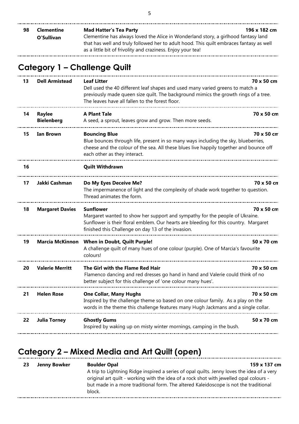| 98 | <b>Clementine</b> | <b>Mad Hatter's Tea Party</b>                                                                                                                                                                                                                | 196 x 182 cm |
|----|-------------------|----------------------------------------------------------------------------------------------------------------------------------------------------------------------------------------------------------------------------------------------|--------------|
|    | O'Sullivan        | Clementine has always loved the Alice in Wonderland story, a girlhood fantasy land<br>that has well and truly followed her to adult hood. This quilt embraces fantasy as well<br>as a little bit of frivolity and craziness. Enjoy your tea! |              |

### **Category 1 – Challenge Quilt**

| 13 | <b>Dell Armistead</b>       | <b>Leaf Litter</b><br>Dell used the 40 different leaf shapes and used many varied greens to match a<br>previously made queen size quilt. The background mimics the growth rings of a tree.<br>The leaves have all fallen to the forest floor. | 70 x 50 cm |
|----|-----------------------------|-----------------------------------------------------------------------------------------------------------------------------------------------------------------------------------------------------------------------------------------------|------------|
| 14 | Raylee<br><b>Bielenberg</b> | <b>A Plant Tale</b><br>A seed, a sprout, leaves grow and grow. Then more seeds.                                                                                                                                                               | 70 x 50 cm |
| 15 | <b>Ian Brown</b>            | <b>Bouncing Blue</b><br>Blue bounces through life, present in so many ways including the sky, blueberries,<br>cheese and the colour of the sea. All these blues live happily together and bounce off<br>each other as they interact.          | 70 x 50 cm |
| 16 |                             | <b>Quilt Withdrawn</b>                                                                                                                                                                                                                        |            |
| 17 | Jakki Cashman               | Do My Eyes Deceive Me?<br>The impermanence of light and the complexity of shade work together to question.<br>Thread animates the form.                                                                                                       | 70 x 50 cn |
| 18 | <b>Margaret Davies</b>      | <b>Sunflower</b><br>Margaret wanted to show her support and sympathy for the people of Ukraine.<br>Sunflower is their floral emblem. Our hearts are bleeding for this country. Margaret<br>finished this Challenge on day 13 of the invasion. | 70 x 50 cm |
| 19 |                             | Marcia McKinnon When in Doubt, Quilt Purple!<br>A challenge quilt of many hues of one colour (purple). One of Marcia's favourite<br>colours!                                                                                                  | 50 x 70 cm |
| 20 | <b>Valerie Merritt</b>      | The Girl with the Flame Red Hair<br>Flamenco dancing and red dresses go hand in hand and Valerie could think of no<br>better subject for this challenge of 'one colour many hues'.                                                            | 70 x 50 cm |
| 21 | <b>Helen Rose</b>           | <b>One Collar, Many Hughs</b><br>Inspired by the challenge theme so based on one colour family. As a play on the<br>words in the theme this challenge features many Hugh Jackmans and a single collar.                                        | 70 x 50 cm |
| 22 | <b>Julia Torney</b>         | <b>Ghostly Gums</b><br>Inspired by waking up on misty winter mornings, camping in the bush.                                                                                                                                                   | 50 x 70 cm |

# **Category 2 – Mixed Media and Art Quilt (open)**

| 23 | <b>Jenny Bowker</b> | <b>Boulder Opal</b>                                                                                                                                                                                                                                                                    | 159 x 137 cm |
|----|---------------------|----------------------------------------------------------------------------------------------------------------------------------------------------------------------------------------------------------------------------------------------------------------------------------------|--------------|
|    |                     | A trip to Lightning Ridge inspired a series of opal quilts. Jenny loves the idea of a very<br>original art quilt - working with the idea of a rock shot with jewelled opal colours -<br>but made in a more traditional form. The altered Kaleidoscope is not the traditional<br>block. |              |
|    |                     |                                                                                                                                                                                                                                                                                        |              |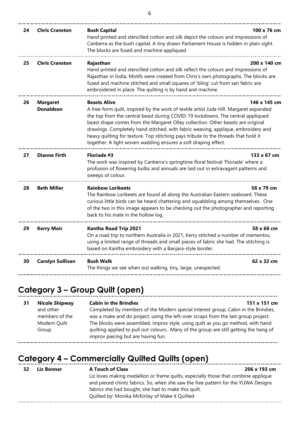| 24 | <b>Chris Cranston</b>               | <b>Bush Capital</b><br>Hand printed and stencilled cotton and silk depict the colours and impressions of<br>Canberra as the bush capital. A tiny drawn Parliament House is hidden in plain sight.<br>The blocks are fused and machine appliqued.                                                                                                                                                                                                                                                                                 | 100 x 76 cm  |
|----|-------------------------------------|----------------------------------------------------------------------------------------------------------------------------------------------------------------------------------------------------------------------------------------------------------------------------------------------------------------------------------------------------------------------------------------------------------------------------------------------------------------------------------------------------------------------------------|--------------|
| 25 | <b>Chris Cranston</b>               | Rajasthan<br>Hand printed and stencilled cotton and silk reflect the colours and impressions of<br>Rajasthan in India. Motifs were created from Chris's own photographs. The blocks are<br>fused and machine stitched and small squares of 'bling' cut from sari fabric are<br>embroidered in place. The quilting is by hand and machine.                                                                                                                                                                                        | 200 x 140 cm |
| 26 | <b>Margaret</b><br><b>Donaldson</b> | <b>Beasts Alive</b><br>A free-form quilt, inspired by the work of textile artist Jude Hill. Margaret expanded<br>the top from the central beast during COVID-19 lockdowns. The central appliqued<br>beast shape comes from the Margaret Olley collection. Other beasts are original<br>drawings. Completely hand stitched, with fabric weaving, applique, embroidery and<br>heavy quilting for texture. Top stitching pays tribute to the threads that hold it<br>together. A light woven wadding ensures a soft draping effect. | 146 x 145 cm |
| 27 | <b>Dianne Firth</b>                 | Floriade #3<br>The work was inspired by Canberra's springtime floral festival 'Floriade' where a<br>profusion of flowering bulbs and annuals are laid out in extravagant patterns and<br>sweeps of colour.                                                                                                                                                                                                                                                                                                                       | 133 x 67 cm  |
| 28 | <b>Beth Miller</b>                  | <b>Rainbow Lorikeets</b><br>The Rainbow Lorikeets are found all along the Australian Eastern seaboard. These<br>curious little birds can be heard chattering and squabbling among themselves. One<br>of the two in this image appears to be checking out the photographer and reporting<br>back to his mate in the hollow log.                                                                                                                                                                                                   | 58 x 79 cm   |
| 29 | <b>Kerry Moir</b>                   | Kantha Road Trip 2021<br>On a road trip to northern Australia in 2021, Kerry stitched a number of mementos,<br>using a limited range of threads and small pieces of fabric she had. The stitching is<br>based on Kantha embroidery with a Banjara-style border.                                                                                                                                                                                                                                                                  | 58 x 68 cm   |
| 30 | <b>Carolyn Sullivan</b>             | <b>Bush Walk</b><br>The things we see when out walking, tiny, large, unexpected.                                                                                                                                                                                                                                                                                                                                                                                                                                                 | 62 x 32 cm   |

### **Category 3 – Group Quilt (open)**

**31 Nicole Shipway Cabin in the Brindies** 151 x 151 cm and other Completed by members of the Modern special interest group, Cabin in the Brindies, members of the was a make and do project, using the left-over scraps from the last group project. Modern Quilt The blocks were assembled, improv style, using quilt as you go method, with hand Group quilting applied to pull out colours. Many of the group are still getting the hang of improv piecing but are having fun. -----------------------

### **Category 4 – Commercially Quilted Quilts (open)**

| 32 | Liz Bonner | <b>A Touch of Class</b>                                                            | 206 x 193 cm |
|----|------------|------------------------------------------------------------------------------------|--------------|
|    |            | Liz loves making medallion or frame quilts, especially those that combine applique |              |
|    |            | and pieced chintz fabrics. So, when she saw the free pattern for the YUWA Designs  |              |
|    |            | fabrics she had bought, she had to make this quilt.                                |              |
|    |            | Quilted by: Monika McKinlay of Make it Quilted                                     |              |
|    |            |                                                                                    |              |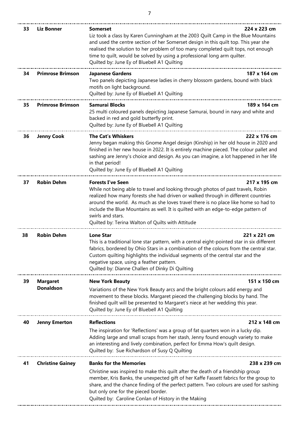\_\_\_\_\_\_\_\_\_\_\_\_\_\_\_\_\_\_\_\_

| 33 | <b>Liz Bonner</b>                   | <b>Somerset</b><br>Liz took a class by Karen Cunningham at the 2003 Quilt Camp in the Blue Mountains<br>and used the centre section of her Somerset design in this quilt top. This year she<br>realised the solution to her problem of too many completed quilt tops, not enough<br>time to quilt, would be solved by using a professional long arm quilter.<br>Quilted by: June Ey of Bluebell A1 Quilting                                             | 224 x 223 cm |
|----|-------------------------------------|---------------------------------------------------------------------------------------------------------------------------------------------------------------------------------------------------------------------------------------------------------------------------------------------------------------------------------------------------------------------------------------------------------------------------------------------------------|--------------|
| 34 | <b>Primrose Brimson</b>             | <b>Japanese Gardens</b><br>Two panels depicting Japanese ladies in cherry blossom gardens, bound with black<br>motifs on light background.<br>Quilted by: June Ey of Bluebell A1 Quilting                                                                                                                                                                                                                                                               | 187 x 164 cm |
| 35 | <b>Primrose Brimson</b>             | <b>Samurai Blocks</b><br>25 multi coloured panels depicting Japanese Samurai, bound in navy and white and<br>backed in red and gold butterfly print.<br>Quilted by: June Ey of Bluebell A1 Quilting                                                                                                                                                                                                                                                     | 189 x 164 cm |
| 36 | <b>Jenny Cook</b>                   | <b>The Cat's Whiskers</b><br>Jenny began making this Gnome Angel design (Kinship) in her old house in 2020 and<br>finished in her new house in 2022. It is entirely machine pieced. The colour pallet and<br>sashing are Jenny's choice and design. As you can imagine, a lot happened in her life<br>in that period!<br>Quilted by: June Ey of Bluebell A1 Quilting                                                                                    | 222 x 176 cm |
| 37 | <b>Robin Dehm</b>                   | <b>Forests I've Seen</b><br>While not being able to travel and looking through photos of past travels, Robin<br>realized how many forests she had driven or walked through in different countries<br>around the world. As much as she loves travel there is no place like home so had to<br>include the Blue Mountains as well. It is quilted with an edge-to-edge pattern of<br>swirls and stars.<br>Quilted by: Terina Walton of Quilts with Attitude | 217 x 195 cm |
| 38 | <b>Robin Dehm</b>                   | <b>Lone Star</b><br>This is a traditional lone star pattern, with a central eight-pointed star in six different<br>fabrics, bordered by Ohio Stars in a combination of the colours from the central star.<br>Custom quilting highlights the individual segments of the central star and the<br>negative space, using a feather pattern.<br>Quilted by: Dianne Challen of Dinky Di Quilting                                                              | 221 x 221 cm |
| 39 | <b>Margaret</b><br><b>Donaldson</b> | <b>New York Beauty</b><br>Variations of the New York Beauty arcs and the bright colours add energy and<br>movement to these blocks. Margaret pieced the challenging blocks by hand. The<br>finished quilt will be presented to Margaret's niece at her wedding this year.<br>Quilted by: June Ey of Bluebell A1 Quilting                                                                                                                                | 151 x 150 cm |
| 40 | <b>Jenny Emerton</b>                | <b>Reflections</b><br>The inspiration for 'Reflections' was a group of fat quarters won in a lucky dip.<br>Adding large and small scraps from her stash, Jenny found enough variety to make<br>an interesting and lively combination, perfect for Emma How's quilt design.<br>Quilted by: Sue Richardson of Susy Q Quilting                                                                                                                             | 212 x 148 cm |
| 41 | <b>Christine Gainey</b>             | <b>Banks for the Memories</b><br>Christine was inspired to make this quilt after the death of a friendship group<br>member, Kris Banks, the unexpected gift of her Kaffe Fassett fabrics for the group to<br>share, and the chance finding of the perfect pattern. Two colours are used for sashing<br>but only one for the pieced border.<br>Quilted by: Caroline Conlan of History in the Making                                                      | 238 x 239 cm |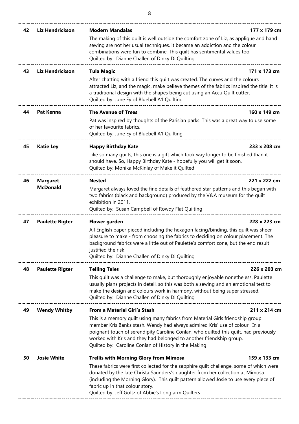| 42 | Liz Hendrickson        | <b>Modern Mandalas</b>                                                                                                                                                                                                                                                                                                                                                                | 177 x 179 cm |
|----|------------------------|---------------------------------------------------------------------------------------------------------------------------------------------------------------------------------------------------------------------------------------------------------------------------------------------------------------------------------------------------------------------------------------|--------------|
|    |                        | The making of this quilt is well outside the comfort zone of Liz, as applique and hand<br>sewing are not her usual techniques. it became an addiction and the colour<br>combinations were fun to combine. This quilt has sentimental values too.<br>Quilted by: Dianne Challen of Dinky Di Quilting                                                                                   |              |
| 43 | Liz Hendrickson        | <b>Tula Magic</b>                                                                                                                                                                                                                                                                                                                                                                     | 171 x 173 cm |
|    |                        | After chatting with a friend this quilt was created. The curves and the colours<br>attracted Liz, and the magic, make believe themes of the fabrics inspired the title. It is<br>a traditional design with the shapes being cut using an Accu Quilt cutter.<br>Quilted by: June Ey of Bluebell A1 Quilting                                                                            |              |
| 44 | <b>Pat Kenna</b>       | <b>The Avenue of Trees</b>                                                                                                                                                                                                                                                                                                                                                            | 160 x 149 cm |
|    |                        | Pat was inspired by thoughts of the Parisian parks. This was a great way to use some<br>of her favourite fabrics.<br>Quilted by: June Ey of Bluebell A1 Quilting                                                                                                                                                                                                                      |              |
| 45 | <b>Katie Ley</b>       | <b>Happy Birthday Kate</b>                                                                                                                                                                                                                                                                                                                                                            | 233 x 208 cm |
|    |                        | Like so many quilts, this one is a gift which took way longer to be finished than it<br>should have. So, Happy Birthday Kate - hopefully you will get it soon.<br>Quilted by: Monika McKinlay of Make it Quilted                                                                                                                                                                      |              |
| 46 | <b>Margaret</b>        | <b>Nested</b>                                                                                                                                                                                                                                                                                                                                                                         | 221 x 222 cm |
|    | <b>McDonald</b>        | Margaret always loved the fine details of feathered star patterns and this began with<br>two fabrics (black and background) produced by the V&A museum for the quilt<br>exhibition in 2011.<br>Quilted by: Susan Campbell of Rowdy Flat Quilting                                                                                                                                      |              |
| 47 | <b>Paulette Rigter</b> | <b>Flower garden</b>                                                                                                                                                                                                                                                                                                                                                                  | 228 x 223 cm |
|    |                        | All English paper pieced including the hexagon facing/binding, this quilt was sheer<br>pleasure to make - from choosing the fabrics to deciding on colour placement. The<br>background fabrics were a little out of Paulette's comfort zone, but the end result<br>justified the risk!<br>Quilted by: Dianne Challen of Dinky Di Quilting                                             |              |
| 48 | <b>Paulette Rigter</b> | <b>Telling Tales</b>                                                                                                                                                                                                                                                                                                                                                                  | 226 x 203 cm |
|    |                        | This quilt was a challenge to make, but thoroughly enjoyable nonetheless. Paulette<br>usually plans projects in detail, so this was both a sewing and an emotional test to<br>make the design and colours work in harmony, without being super stressed.<br>Quilted by: Dianne Challen of Dinky Di Quilting                                                                           |              |
| 49 | <b>Wendy Whitby</b>    | <b>From a Material Girl's Stash</b>                                                                                                                                                                                                                                                                                                                                                   | 211 x 214 cm |
|    |                        | This is a memory quilt using many fabrics from Material Girls friendship group<br>member Kris Banks stash. Wendy had always admired Kris' use of colour. In a<br>poignant touch of serendipity Caroline Conlan, who quilted this quilt, had previously<br>worked with Kris and they had belonged to another friendship group.<br>Quilted by: Caroline Conlan of History in the Making |              |
| 50 | <b>Josie White</b>     | <b>Trellis with Morning Glory from Mimosa</b>                                                                                                                                                                                                                                                                                                                                         | 159 x 133 cm |
|    |                        | These fabrics were first collected for the sapphire quilt challenge, some of which were<br>donated by the late Christa Saunders's daughter from her collection at Mimosa<br>(including the Morning Glory). This quilt pattern allowed Josie to use every piece of                                                                                                                     |              |

fabric up in that colour story.

Quilted by: Jeff Goltz of Abbie's Long arm Quilters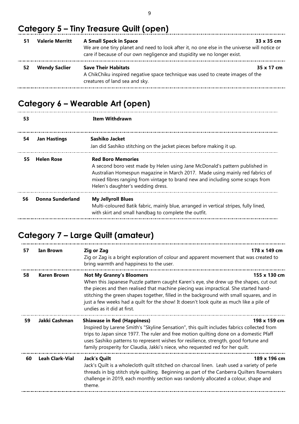# **Category 5 – Tiny Treasure Quilt (open)**

|    | <b>Valerie Merritt</b> | <b>A Small Speck in Space</b><br>We are one tiny planet and need to look after it, no one else in the universe will notice or<br>care if because of our own negligence and stupidity we no longer exist. | 33 x 35 cm |
|----|------------------------|----------------------------------------------------------------------------------------------------------------------------------------------------------------------------------------------------------|------------|
| 52 | <b>Wendy Saclier</b>   | <b>Save Their Habitats</b><br>A ChikChiku inspired negative space technique was used to create images of the<br>creatures of land sea and sky.                                                           | 35 x 17 cm |

### **Category 6 – Wearable Art (open)**

| 53 |                     | <b>Item Withdrawn</b>                                                                                                                                                                                                                                                                                         |
|----|---------------------|---------------------------------------------------------------------------------------------------------------------------------------------------------------------------------------------------------------------------------------------------------------------------------------------------------------|
| 54 | <b>Jan Hastings</b> | Sashiko Jacket<br>Jan did Sashiko stitching on the jacket pieces before making it up.                                                                                                                                                                                                                         |
| 55 | <b>Helen Rose</b>   | <b>Red Boro Memories</b><br>A second boro vest made by Helen using Jane McDonald's pattern published in<br>Australian Homespun magazine in March 2017. Made using mainly red fabrics of<br>mixed fibres ranging from vintage to brand new and including some scraps from<br>Helen's daughter's wedding dress. |
| 56 | Donna Sunderland    | <b>My Jellyroll Blues</b><br>Multi-coloured Batik fabric, mainly blue, arranged in vertical stripes, fully lined,<br>with skirt and small handbag to complete the outfit.                                                                                                                                     |

### **Category 7 – Large Quilt (amateur)**

| 57 | <b>Ian Brown</b>       | <b>Zig or Zag</b><br>Zig or Zag is a bright exploration of colour and apparent movement that was created to<br>bring warmth and happiness to the user.                                                                                                                                                                                                                                                                                | 178 x 149 cm |
|----|------------------------|---------------------------------------------------------------------------------------------------------------------------------------------------------------------------------------------------------------------------------------------------------------------------------------------------------------------------------------------------------------------------------------------------------------------------------------|--------------|
| 58 | <b>Karen Brown</b>     | <b>Not My Granny's Bloomers</b><br>When this Japanese Puzzle pattern caught Karen's eye, she drew up the shapes, cut out<br>the pieces and then realised that machine piecing was impractical. She started hand-<br>stitching the green shapes together, filled in the background with small squares, and in<br>just a few weeks had a quilt for the show! It doesn't look quite as much like a pile of<br>undies as it did at first. | 155 x 130 cm |
| 59 | Jakki Cashman          | <b>Shiawase in Red (Happiness)</b><br>Inspired by Larene Smith's "Skyline Sensation", this quilt includes fabrics collected from<br>trips to Japan since 1977. The ruler and free motion quilting done on a domestic Pfaff<br>uses Sashiko patterns to represent wishes for resilience, strength, good fortune and<br>family prosperity for Claudia, Jakki's niece, who requested red for her quilt.                                  | 198 x 159 cm |
| 60 | <b>Leah Clark-Vial</b> | Jack's Quilt<br>Jack's Quilt is a wholecloth quilt stitched on charcoal linen. Leah used a variety of perle<br>threads in big stitch style quilting. Beginning as part of the Canberra Quilters Rowmakers<br>challenge in 2019, each monthly section was randomly allocated a colour, shape and<br>theme.                                                                                                                             | 189 x 196 cm |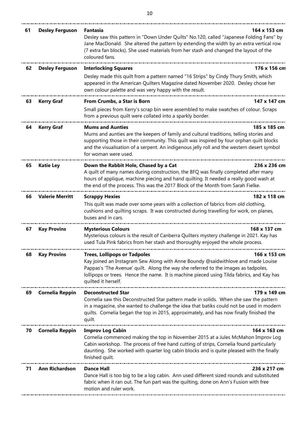| 61 | <b>Desley Ferguson</b> | Fantasia<br>Desley saw this pattern in "Down Under Quilts" No.120, called "Japanese Folding Fans" by<br>Jane MacDonald. She altered the pattern by extending the width by an extra vertical row<br>(7 extra fan blocks). She used materials from her stash and changed the layout of the<br>coloured fans.                           | 164 x 153 cm |
|----|------------------------|--------------------------------------------------------------------------------------------------------------------------------------------------------------------------------------------------------------------------------------------------------------------------------------------------------------------------------------|--------------|
| 62 | <b>Desley Ferguson</b> | <b>Interlocking Squares</b>                                                                                                                                                                                                                                                                                                          | 176 x 156 cm |
|    |                        | Desley made this quilt from a pattern named "16 Strips" by Cindy Thury Smith, which<br>appeared in the American Quilters Magazine dated November 2020. Desley chose her<br>own colour palette and was very happy with the result.                                                                                                    |              |
| 63 | <b>Kerry Graf</b>      | From Crumbs, a Star is Born                                                                                                                                                                                                                                                                                                          | 147 x 147 cm |
|    |                        | Small pieces from Kerry's scrap bin were assembled to make swatches of colour. Scraps<br>from a previous quilt were collated into a sparkly border.                                                                                                                                                                                  |              |
| 64 | <b>Kerry Graf</b>      | <b>Mums and Aunties</b><br>Mums and aunties are the keepers of family and cultural traditions, telling stories and<br>supporting those in their community. This quilt was inspired by four orphan quilt blocks<br>and the visualisation of a serpent. An indigenous jelly roll and the western desert symbol<br>for woman were used. | 185 x 185 cm |
| 65 | <b>Katie Ley</b>       | Down the Rabbit Hole, Chased by a Cat<br>A quilt of many names during construction, the BFQ was finally completed after many<br>hours of applique, machine piecing and hand quilting. It needed a really good wash at<br>the end of the process. This was the 2017 Block of the Month from Sarah Fielke.                             | 236 x 236 cm |
| 66 | <b>Valerie Merritt</b> | <b>Scrappy Hexies</b><br>This quilt was made over some years with a collection of fabrics from old clothing,<br>cushions and quilting scraps. It was constructed during travelling for work, on planes,<br>buses and in cars.                                                                                                        | 182 x 118 cm |
| 67 | <b>Kay Provins</b>     | <b>Mysterious Colours</b><br>Mysterious colours is the result of Canberra Quilters mystery challenge in 2021. Kay has<br>used Tula Pink fabrics from her stash and thoroughly enjoyed the whole process.                                                                                                                             | 168 x 137 cm |
| 68 | <b>Kay Provins</b>     | <b>Trees, Lollipops or Tadpoles</b><br>Kay joined an Instagram Sew Along with Anne Boundy @saidwithlove and made Louise<br>Pappas's 'The Avenue' quilt. Along the way she referred to the images as tadpoles,<br>lollipops or trees. Hence the name. It is machine pieced using Tilda fabrics, and Kay has<br>quilted it herself.    | 166 x 153 cm |
| 69 | <b>Cornelia Reppin</b> | <b>Deconstructed Star</b><br>Cornelia saw this Deconstructed Star pattern made in solids. When she saw the pattern<br>in a magazine, she wanted to challenge the idea that batiks could not be used in modern<br>quilts. Cornelia began the top in 2015, approximately, and has now finally finished the<br>quilt.                   | 179 x 149 cm |
| 70 | <b>Cornelia Reppin</b> | <b>Improv Log Cabin</b><br>Cornelia commenced making the top in November 2015 at a Jules McMahon Improv Log<br>Cabin workshop. The process of free hand cutting of strips, Cornelia found particularly<br>daunting. She worked with quarter log cabin blocks and is quite pleased with the finally<br>finished quilt.                | 164 x 163 cm |
| 71 | <b>Ann Richardson</b>  | <b>Dance Hall</b><br>Dance Hall is too big to be a log cabin. Ann used different sized rounds and substituted<br>fabric when it ran out. The fun part was the quilting, done on Ann's Fusion with free<br>motion and ruler work.                                                                                                     | 236 x 217 cm |
|    |                        |                                                                                                                                                                                                                                                                                                                                      |              |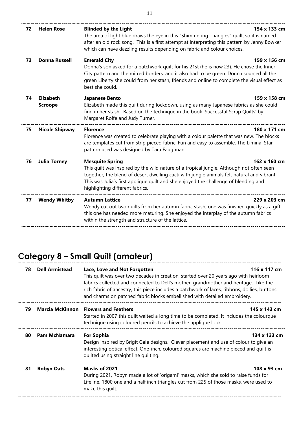| 72 | <b>Helen Rose</b>                  | <b>Blinded by the Light</b><br>154 x 133 cm<br>The area of light blue draws the eye in this "Shimmering Triangles" quilt, so it is named<br>after an old rock song. This is a first attempt at interpreting this pattern by Jenny Bowker<br>which can have dazzling results depending on fabric and colour choices.                                        |  |
|----|------------------------------------|------------------------------------------------------------------------------------------------------------------------------------------------------------------------------------------------------------------------------------------------------------------------------------------------------------------------------------------------------------|--|
| 73 | <b>Donna Russell</b>               | <b>Emerald City</b><br>159 x 156 cm<br>Donna's son asked for a patchwork quilt for his 21st (he is now 23). He chose the Inner-<br>City pattern and the mitred borders, and it also had to be green. Donna sourced all the<br>green Liberty she could from her stash, friends and online to complete the visual effect as<br>best she could.               |  |
| 74 | <b>Elizabeth</b><br><b>Scroope</b> | 159 x 158 cm<br><b>Japanese Bento</b><br>Elizabeth made this quilt during lockdown, using as many Japanese fabrics as she could<br>find in her stash. Based on the technique in the book 'Successful Scrap Quilts' by<br>Margaret Rolfe and Judy Turner.                                                                                                   |  |
| 75 | <b>Nicole Shipway</b>              | <b>Florence</b><br>180 x 171 cm<br>Florence was created to celebrate playing with a colour palette that was new. The blocks<br>are templates cut from strip pieced fabric. Fun and easy to assemble. The Liminal Star<br>pattern used was designed by Tara Faughnan.                                                                                       |  |
| 76 | <b>Julia Torney</b>                | 162 x 160 cm<br><b>Mesquite Spring</b><br>This quilt was inspired by the wild nature of a tropical jungle. Although not often seen<br>together, the blend of desert dwelling cacti with jungle animals felt natural and vibrant.<br>This was Julia's first applique quilt and she enjoyed the challenge of blending and<br>highlighting different fabrics. |  |
| 77 | <b>Wendy Whitby</b>                | <b>Autumn Lattice</b><br>229 x 203 cm<br>Wendy cut out two quilts from her autumn fabric stash; one was finished quickly as a gift;<br>this one has needed more maturing. She enjoyed the interplay of the autumn fabrics<br>within the strength and structure of the lattice.                                                                             |  |

### **Category 8 – Small Quilt (amateur)**

| 78 | <b>Dell Armistead</b> | 116 x 117 cm<br>Lace, Love and Not Forgotten<br>This quilt was over two decades in creation, started over 20 years ago with heirloom<br>fabrics collected and connected to Dell's mother, grandmother and heritage. Like the<br>rich fabric of ancestry, this piece includes a patchwork of laces, ribbons, doilies, buttons<br>and charms on patched fabric blocks embellished with detailed embroidery. |              |
|----|-----------------------|-----------------------------------------------------------------------------------------------------------------------------------------------------------------------------------------------------------------------------------------------------------------------------------------------------------------------------------------------------------------------------------------------------------|--------------|
| 79 |                       | <b>Marcia McKinnon</b> Flowers and Feathers<br>Started in 2007 this quilt waited a long time to be completed. It includes the colourque<br>technique using coloured pencils to achieve the applique look.                                                                                                                                                                                                 | 145 x 143 cm |
| 80 | <b>Pam McNamara</b>   | <b>For Sophia</b><br>Design inspired by Brigit Gale designs. Clever placement and use of colour to give an<br>interesting optical effect. One-inch, coloured squares are machine pieced and quilt is<br>quilted using straight line quilting.                                                                                                                                                             | 134 x 123 cm |
| 81 | <b>Robyn Oats</b>     | Masks of 2021<br>During 2021, Robyn made a lot of 'origami' masks, which she sold to raise funds for<br>Lifeline. 1800 one and a half inch triangles cut from 225 of those masks, were used to<br>make this quilt.                                                                                                                                                                                        | 108 x 93 cm  |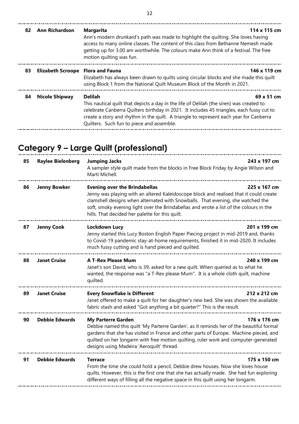| 82 | <b>Ann Richardson</b>    | <b>Margarita</b><br>114 x 115 cm<br>Ann's modern drunkard's path was made to highlight the quilting. She loves having<br>access to many online classes. The content of this class from Bethanne Nemesh made<br>getting up for 3.00 am worthwhile. The colours make Ann think of a festival. The free<br>motion quilting was fun.               |            |
|----|--------------------------|------------------------------------------------------------------------------------------------------------------------------------------------------------------------------------------------------------------------------------------------------------------------------------------------------------------------------------------------|------------|
| 83 | <b>Elizabeth Scroope</b> | 146 x 119 cm<br><b>Flora and Fauna</b><br>Elizabeth has always been drawn to quilts using circular blocks and she made this quilt<br>using Block 1 from the National Quilt Museum Block of the Month in 2021.                                                                                                                                  |            |
| 84 | <b>Nicole Shipway</b>    | <b>Delilah</b><br>This nautical quilt that depicts a day in the life of Delilah (the siren) was created to<br>celebrate Canberra Quilters birthday in 2021. It includes 45 triangles, each fussy cut to<br>create a story and rhythm in the quilt. A triangle to represent each year for Canberra<br>Quilters. Such fun to piece and assemble. | 69 x 51 cm |

## **Category 9 – Large Quilt (professional)**

| 85 | <b>Raylee Bielenberg</b> | <b>Jumping Jacks</b><br>A sampler style quilt made from the blocks in Free Block Friday by Angie Wilson and<br>Marti Michell.                                                                                                                                                                                                                                  | 243 x 197 cm |
|----|--------------------------|----------------------------------------------------------------------------------------------------------------------------------------------------------------------------------------------------------------------------------------------------------------------------------------------------------------------------------------------------------------|--------------|
| 86 | <b>Jenny Bowker</b>      | <b>Evening over the Brindabellas</b><br>Jenny was playing with an altered Kaleidoscope block and realised that it could create<br>clamshell designs when alternated with Snowballs. That evening, she watched the<br>soft, smoky evening light over the Brindabellas and wrote a list of the colours in the<br>hills. That decided her palette for this quilt. | 225 x 167 cm |
| 87 | <b>Jenny Cook</b>        | Lockdown Lucy<br>Jenny started this Lucy Boston English Paper Piecing project in mid-2019 and, thanks<br>to Covid-19 pandemic stay-at-home requirements, finished it in mid-2020. It includes<br>much fussy cutting and is hand pieced and quilted.                                                                                                            | 201 x 199 cm |
| 88 | <b>Janet Cruise</b>      | <b>A T-Rex Please Mum</b><br>Janet's son David, who is 39, asked for a new quilt. When queried as to what he<br>wanted, the response was "a T-Rex please Mum". It is a whole cloth quilt, machine<br>quilted.                                                                                                                                                  | 240 x 199 cm |
| 89 | <b>Janet Cruise</b>      | <b>Every Snowflake is Different</b><br>Janet offered to make a quilt for her daughter's new bed. She was shown the available<br>fabric stash and asked "Got anything a bit quieter?" This is the result.                                                                                                                                                       | 212 x 212 cm |
| 90 | <b>Debbie Edwards</b>    | <b>My Parterre Garden</b><br>Debbie named this quilt 'My Parterre Garden', as it reminds her of the beautiful formal<br>gardens that she has visited in France and other parts of Europe. Machine pieced, and<br>quilted on her longarm with free motion quilting, ruler work and computer-generated<br>designs using Madeira 'Aeroquilt' thread.              | 176 x 176 cm |
| 91 | <b>Debbie Edwards</b>    | <b>Terrace</b><br>From the time she could hold a pencil, Debbie drew houses. Now she loves house<br>quilts. However, this is the first one that she has actually made. She had fun exploring<br>different ways of filling all the negative space in this quilt using her longarm.                                                                              | 175 x 150 cm |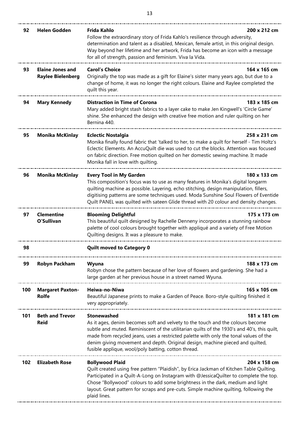| 92  | <b>Helen Godden</b>                                 | <b>Frida Kahlo</b><br>Follow the extraordinary story of Frida Kahlo's resilience through adversity,<br>determination and talent as a disabled, Mexican, female artist, in this original design.<br>Way beyond her lifetime and her artwork, Frida has become an icon with a message<br>for all of strength, passion and feminism. Viva la Vida.                                                                                      | 200 x 212 cm |
|-----|-----------------------------------------------------|--------------------------------------------------------------------------------------------------------------------------------------------------------------------------------------------------------------------------------------------------------------------------------------------------------------------------------------------------------------------------------------------------------------------------------------|--------------|
| 93  | <b>Elaine Jones and</b><br><b>Raylee Bielenberg</b> | <b>Carol's Choice</b><br>Originally the top was made as a gift for Elaine's sister many years ago, but due to a<br>change of home, it was no longer the right colours. Elaine and Raylee completed the<br>quilt this year.                                                                                                                                                                                                           | 164 x 165 cm |
| 94  | <b>Mary Kennedy</b>                                 | <b>Distraction in Time of Corona</b><br>Mary added bright stash fabrics to a layer cake to make Jen Kingwell's 'Circle Game'<br>shine. She enhanced the design with creative free motion and ruler quilting on her<br>Bernina 440.                                                                                                                                                                                                   | 183 x 185 cm |
| 95  | <b>Monika McKinlay</b>                              | <b>Eclectic Nostalgia</b><br>Monika finally found fabric that 'talked to her, to make a quilt for herself - Tim Holtz's<br>Eclectic Elements. An AccuQuilt die was used to cut the blocks. Attention was focused<br>on fabric direction. Free motion quilted on her domestic sewing machine. It made<br>Monika fall in love with quilting.                                                                                           | 258 x 231 cm |
| 96  | <b>Monika McKinlay</b>                              | <b>Every Tool in My Garden</b><br>This composition's focus was to use as many features in Monika's digital longarm<br>quilting machine as possible. Layering, echo stitching, design manipulation, fillers,<br>digitising patterns are some techniques used. Moda Sunshine Soul Flowers of Eventide<br>Quilt PANEL was quilted with sateen Glide thread with 20 colour and density changes.                                          | 180 x 133 cm |
| 97  | <b>Clementine</b><br>O'Sullivan                     | <b>Blooming Delightful</b><br>This beautiful quilt designed by Rachelle Denneny incorporates a stunning rainbow<br>palette of cool colours brought together with appliqué and a variety of Free Motion<br>Quilting designs. It was a pleasure to make.                                                                                                                                                                               | 175 x 173 cm |
| 98  |                                                     | <b>Quilt moved to Category 0</b>                                                                                                                                                                                                                                                                                                                                                                                                     |              |
| 99  | Robyn Packham                                       | Wyuna<br>Robyn chose the pattern because of her love of flowers and gardening. She had a<br>large garden at her previous house in a street named Wyuna.                                                                                                                                                                                                                                                                              | 188 x 173 cm |
| 100 | <b>Margaret Paxton-</b><br><b>Rolfe</b>             | Heiwa-no-Niwa<br>Beautiful Japanese prints to make a Garden of Peace. Boro-style quilting finished it<br>very appropriately.                                                                                                                                                                                                                                                                                                         | 165 x 105 cm |
| 101 | <b>Beth and Trevor</b><br><b>Reid</b>               | <b>Stonewashed</b><br>As it ages, denim becomes soft and velvety to the touch and the colours become<br>subtle and muted. Reminiscent of the utilitarian quilts of the 1930's and 40's, this quilt,<br>made from recycled jeans, uses a restricted palette with only the tonal values of the<br>denim giving movement and depth. Original design, machine pieced and quilted,<br>fusible applique, wool/poly batting, cotton thread. | 181 x 181 cm |
| 102 | <b>Elizabeth Rose</b>                               | <b>Bollywood Plaid</b><br>Quilt created using free pattern "Plaidish", by Erica Jackman of Kitchen Table Quilting.<br>Participated in a Quilt-A-Long on Instagram with @JessicaQuilter to complete the top.<br>Chose "Bollywood" colours to add some brightness in the dark, medium and light<br>layout. Great pattern for scraps and pre-cuts. Simple machine quilting, following the                                               | 204 x 158 cm |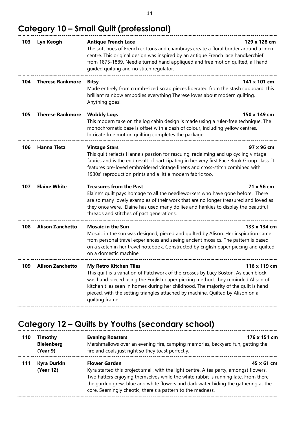### **Category 10 – Small Quilt (professional)**

| 103 | Lyn Keogh               | <b>Antique French Lace</b><br>The soft hues of French cottons and chambrays create a floral border around a linen<br>centre. This original design was inspired by an antique French lace handkerchief<br>from 1875-1889. Needle turned hand appliquéd and free motion quilted, all hand<br>guided quilting and no stitch regulator.                                                                 | 129 x 128 cm |
|-----|-------------------------|-----------------------------------------------------------------------------------------------------------------------------------------------------------------------------------------------------------------------------------------------------------------------------------------------------------------------------------------------------------------------------------------------------|--------------|
| 104 | <b>Therese Rankmore</b> | <b>Bitsy</b><br>Made entirely from crumb-sized scrap pieces liberated from the stash cupboard, this<br>brilliant rainbow embodies everything Therese loves about modern quilting.<br>Anything goes!                                                                                                                                                                                                 | 141 x 101 cm |
| 105 | <b>Therese Rankmore</b> | <b>Wobbly Logs</b><br>This modern take on the log cabin design is made using a ruler-free technique. The<br>monochromatic base is offset with a dash of colour, including yellow centres.<br>Intricate free motion quilting completes the package.                                                                                                                                                  | 150 x 149 cm |
| 106 | <b>Hanna Tietz</b>      | <b>Vintage Stars</b><br>This quilt reflects Hanna's passion for rescuing, reclaiming and up cycling vintage<br>fabrics and is the end result of participating in her very first Face Book Group class. It<br>features pre-loved embroidered vintage linens and cross-stitch combined with<br>1930s' reproduction prints and a little modern fabric too.                                             | 97 x 96 cm   |
| 107 | <b>Elaine White</b>     | <b>Treasures from the Past</b><br>Elaine's quilt pays homage to all the needleworkers who have gone before. There<br>are so many lovely examples of their work that are no longer treasured and loved as<br>they once were. Elaine has used many doilies and hankies to display the beautiful<br>threads and stitches of past generations.                                                          | 71 x 56 cm   |
| 108 | <b>Alison Zanchetto</b> | <b>Mosaic in the Sun</b><br>Mosaic in the sun was designed, pieced and quilted by Alison. Her inspiration came<br>from personal travel experiences and seeing ancient mosaics. The pattern is based<br>on a sketch in her travel notebook. Constructed by English paper piecing and quilted<br>on a domestic machine.                                                                               | 133 x 134 cm |
| 109 | <b>Alison Zanchetto</b> | <b>My Retro Kitchen Tiles</b><br>This quilt is a variation of Patchwork of the crosses by Lucy Boston. As each block<br>was hand pieced using the English paper piecing method, they reminded Alison of<br>kitchen tiles seen in homes during her childhood. The majority of the quilt is hand<br>pieced, with the setting triangles attached by machine. Quilted by Alison on a<br>quilting frame. | 116 x 119 cm |

## **Category 12 – Quilts by Youths (secondary school)**

| 110 | Timothy<br><b>Bielenberg</b><br>(Year 9) | <b>Evening Roasters</b><br>Marshmallows over an evening fire, camping memories, backyard fun, getting the<br>fire and coals just right so they toast perfectly.                                                                                                                                                                                         | 176 x 151 cm |
|-----|------------------------------------------|---------------------------------------------------------------------------------------------------------------------------------------------------------------------------------------------------------------------------------------------------------------------------------------------------------------------------------------------------------|--------------|
| 111 | <b>Kyra Durkin</b><br>(Year 12)          | <b>Flower Garden</b><br>Kyra started this project small, with the light centre. A tea party, amongst flowers.<br>Two hatters enjoying themselves while the white rabbit is running late. From there<br>the garden grew, blue and white flowers and dark water hiding the gathering at the<br>core. Seemingly chaotic, there's a pattern to the madness. | 45 x 61 cm   |

-----------------------------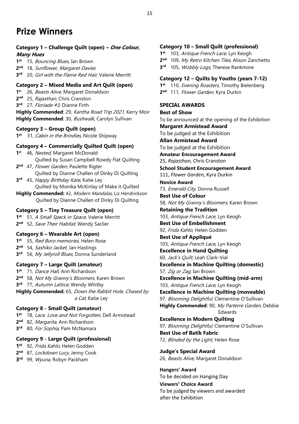### **Prize Winners**

#### **Category 1 – Challenge Quilt (open) – One Colour, Many Hues**

**1 st** 15, Bouncing Blues, Ian Brown

**2 nd** 18, Sunflower, Margaret Davies

**3 rd** 20, Girl with the Flame Red Hair, Valerie Merritt

#### **Category 2 – Mixed Media and Art Quilt (open)**

**1** 26, Beasts Alive, Margaret Donaldson **2 nd** 25, Rajasthan, Chris Cranston **3 rd** 27, Floriade #3, Dianne Firth Highly Commended: 29, Kantha Road Trip 2021, Kerry Moir **Highly Commended:** 30, *Bushwalk*, Carolyn Sullivan

#### **Category 3 – Group Quilt (open)**

1<sup>st</sup> 31, *Cabin in the Brindies*, Nicole Shipway

#### **Category 4 – Commercially Quilted Quilt (open)**

- 1<sup>st</sup> 46, Nested, Margaret McDonald Quilted by Susan Campbell Rowdy Flat Quilting
- **2 nd** 47, Flower Garden, Paulette Rigter Quilted by Dianne Challen of Dinky Di Quilting
- **3 rd** 45, Happy Birthday Kate, Katie Ley Quilted by Monika McKinlay of Make it Quilted
- **Highly Commended:** 42, Modern Mandalas, Liz Hendrickson Quilted by Dianne Challen of Dinky Di Quilting

### **Category 5 – Tiny Treasure Quilt (open)**

**1 st** 51, A Small Speck in Space, Valerie Merritt **2 nd** 52, Save Their Habitat, Wendy Saclier

### **Category 6 – Wearable Art (open)**

**1 st** 55, Red Boro memories, Helen Rose

- **2 nd** 54, Sashiko Jacket, Jan Hastings
- **3 rd** 56, My Jellyroll Blues, Donna Sunderland

### **Category 7 – Large Quilt (amateur)**

 **st** 71, Dance Hall, Ann Richardson **nd** 58, Not My Granny's Bloomers, Karen Brown **rd** 77, Autumn Lattice, Wendy Whitby **Highly Commended:** 65, Down the Rabbit Hole, Chased by

a Cat, Katie Ley

#### **Category 8 - Small Quilt (amateur)**

1<sup>st</sup> 78, Lace, Love and Not Forgotten, Dell Armistead **2 nd** 82, Margarita, Ann Richardson **3 rd** 80, For Sophia, Pam McNamara

### **Category 9 - Large Quilt (professional)**

**1 st** 92, Frida Kahlo, Helen Godden

- **2 nd** 87, Lockdown Lucy, Jenny Cook
- **3 rd** 99, Wyuna, Robyn Packham

### **Category 10 – Small Quilt (professional)**

- **1 st** 103, Antique French Lace, Lyn Keogh
- **2 nd** 109, My Retro Kitchen Tiles, Alison Zanchetto
- **3 rd** 105, Wobbly Logs, Therese Rankmore

#### **Category 12 – Quilts by Youths (years 7-12)**

**1 st** 110, Evening Roasters, Timothy Bielenberg **2 nd** 111, Flower Garden, Kyra Durkin

#### **SPECIAL AWARDS**

**Best of Show**  To be announced at the opening of the Exhibition

**Margaret Armistead Award** 

To be judged at the Exhibition

#### **Allan Armistead Award**

To be judged at the Exhibition

**Amateur Encouragement Award** 

25, *Rajasthan,* Chris Cranston

**School Student Encouragement Award**  111, *Flower Garden,* Kyra Durkin

**Novice Award**  73, Emerald City, Donna Russell

**Best Use of Colour**  58, Not My Granny's Bloomers, Karen Brown

**Retaining the Tradition**  103, Antique French Lace, Lyn Keogh

**Best Use of Embellishment**  92, Frida Kahlo, Helen Godden

### **Best Use of Appliqué**

103, Antique French Lace, Lyn Keogh

**Excellence in Hand Quilting** 

60, Jack's Quilt, Leah Clark-Vial

**Excellence in Machine Quilting (domestic)**  57, *Zig or Zag*, Ian Brown

**Excellence in Machine Quilting (mid-arm)**  103, Antique French Lace, Lyn Keogh **Excellence in Machine Quilting (moveable)**  97, Blooming Delightful, Clementine O'Sullivan Highly Commended: 90, My Parterre Garden, Debbie

Edwards

**Excellence in Modern Quilting**  97, Blooming Delightful, Clementine O'Sullivan **Best Use of Batik Fabric**  72, Blinded by the Light, Helen Rose

**Judge's Special Award**  26, Beasts Alive, Margaret Donaldson

**Hangers' Award**  To be decided on Hanging Day

**Viewers' Choice Award**  To be judged by viewers and awarded after the Exhibition